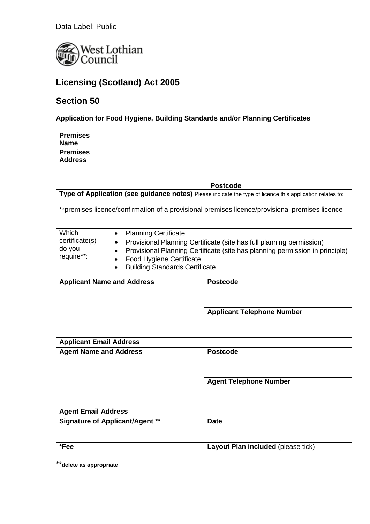Data Label: Public



# **Licensing (Scotland) Act 2005**

## **Section 50**

**Application for Food Hygiene, Building Standards and/or Planning Certificates**

| <b>Premises</b>                                                                                           |                                                                                           |                                    |  |  |
|-----------------------------------------------------------------------------------------------------------|-------------------------------------------------------------------------------------------|------------------------------------|--|--|
| <b>Name</b><br><b>Premises</b>                                                                            |                                                                                           |                                    |  |  |
| <b>Address</b>                                                                                            |                                                                                           |                                    |  |  |
|                                                                                                           |                                                                                           |                                    |  |  |
|                                                                                                           |                                                                                           |                                    |  |  |
|                                                                                                           |                                                                                           | <b>Postcode</b>                    |  |  |
| Type of Application (see guidance notes) Please indicate the type of licence this application relates to: |                                                                                           |                                    |  |  |
| **premises licence/confirmation of a provisional premises licence/provisional premises licence            |                                                                                           |                                    |  |  |
| Which                                                                                                     | <b>Planning Certificate</b><br>٠                                                          |                                    |  |  |
| certificate(s)                                                                                            | Provisional Planning Certificate (site has full planning permission)                      |                                    |  |  |
| do you<br>require**:                                                                                      | Provisional Planning Certificate (site has planning permission in principle)<br>$\bullet$ |                                    |  |  |
|                                                                                                           | Food Hygiene Certificate<br>$\bullet$<br><b>Building Standards Certificate</b>            |                                    |  |  |
|                                                                                                           |                                                                                           |                                    |  |  |
|                                                                                                           | <b>Applicant Name and Address</b>                                                         | <b>Postcode</b>                    |  |  |
|                                                                                                           |                                                                                           |                                    |  |  |
|                                                                                                           |                                                                                           |                                    |  |  |
|                                                                                                           |                                                                                           | <b>Applicant Telephone Number</b>  |  |  |
|                                                                                                           |                                                                                           |                                    |  |  |
|                                                                                                           |                                                                                           |                                    |  |  |
|                                                                                                           | <b>Applicant Email Address</b>                                                            |                                    |  |  |
| <b>Agent Name and Address</b>                                                                             |                                                                                           | <b>Postcode</b>                    |  |  |
|                                                                                                           |                                                                                           |                                    |  |  |
|                                                                                                           |                                                                                           |                                    |  |  |
|                                                                                                           |                                                                                           | <b>Agent Telephone Number</b>      |  |  |
|                                                                                                           |                                                                                           |                                    |  |  |
|                                                                                                           |                                                                                           |                                    |  |  |
| <b>Agent Email Address</b>                                                                                |                                                                                           |                                    |  |  |
| <b>Signature of Applicant/Agent **</b>                                                                    |                                                                                           | <b>Date</b>                        |  |  |
|                                                                                                           |                                                                                           |                                    |  |  |
| *Fee                                                                                                      |                                                                                           |                                    |  |  |
|                                                                                                           |                                                                                           | Layout Plan included (please tick) |  |  |
|                                                                                                           |                                                                                           |                                    |  |  |

\*\***delete as appropriate**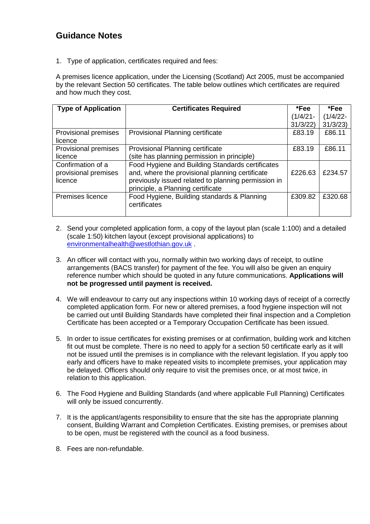### **Guidance Notes**

1. Type of application, certificates required and fees:

A premises licence application, under the Licensing (Scotland) Act 2005, must be accompanied by the relevant Section 50 certificates. The table below outlines which certificates are required and how much they cost.

| <b>Type of Application</b>                           | <b>Certificates Required</b>                                                                                                                                                                    | *Fee        | *Fee        |
|------------------------------------------------------|-------------------------------------------------------------------------------------------------------------------------------------------------------------------------------------------------|-------------|-------------|
|                                                      |                                                                                                                                                                                                 | $(1/4/21 -$ | $(1/4/22 -$ |
|                                                      |                                                                                                                                                                                                 | 31/3/22     | 31/3/23     |
| Provisional premises<br>licence                      | Provisional Planning certificate                                                                                                                                                                | £83.19      | £86.11      |
| Provisional premises                                 | Provisional Planning certificate                                                                                                                                                                | £83.19      | £86.11      |
| licence                                              | (site has planning permission in principle)                                                                                                                                                     |             |             |
| Confirmation of a<br>provisional premises<br>licence | Food Hygiene and Building Standards certificates<br>and, where the provisional planning certificate<br>previously issued related to planning permission in<br>principle, a Planning certificate | £226.63     | £234.57     |
| Premises licence                                     | Food Hygiene, Building standards & Planning<br>certificates                                                                                                                                     | £309.82     | £320.68     |

- 2. Send your completed application form, a copy of the layout plan (scale 1:100) and a detailed (scale 1:50) kitchen layout (except provisional applications) to [environmentalhealth@westlothian.gov.uk](mailto:environmentalhealth@westlothian.gov.uk) .
- 3. An officer will contact with you, normally within two working days of receipt, to outline arrangements (BACS transfer) for payment of the fee. You will also be given an enquiry reference number which should be quoted in any future communications. **Applications will not be progressed until payment is received.**
- 4. We will endeavour to carry out any inspections within 10 working days of receipt of a correctly completed application form. For new or altered premises, a food hygiene inspection will not be carried out until Building Standards have completed their final inspection and a Completion Certificate has been accepted or a Temporary Occupation Certificate has been issued.
- 5. In order to issue certificates for existing premises or at confirmation, building work and kitchen fit out must be complete. There is no need to apply for a section 50 certificate early as it will not be issued until the premises is in compliance with the relevant legislation. If you apply too early and officers have to make repeated visits to incomplete premises, your application may be delayed. Officers should only require to visit the premises once, or at most twice, in relation to this application.
- 6. The Food Hygiene and Building Standards (and where applicable Full Planning) Certificates will only be issued concurrently.
- 7. It is the applicant/agents responsibility to ensure that the site has the appropriate planning consent, Building Warrant and Completion Certificates. Existing premises, or premises about to be open, must be registered with the council as a food business.
- 8. Fees are non-refundable.